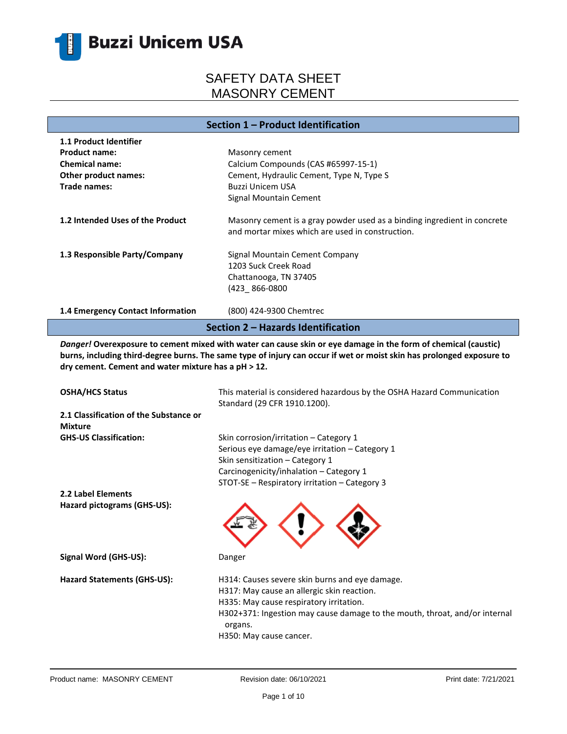

**Section 1 – Product Identification**

| <b>1.1 Product Identifier</b>      |                                                                                                                              |  |  |  |
|------------------------------------|------------------------------------------------------------------------------------------------------------------------------|--|--|--|
| <b>Product name:</b>               | Masonry cement                                                                                                               |  |  |  |
| <b>Chemical name:</b>              | Calcium Compounds (CAS #65997-15-1)                                                                                          |  |  |  |
| <b>Other product names:</b>        | Cement, Hydraulic Cement, Type N, Type S                                                                                     |  |  |  |
| Trade names:                       | <b>Buzzi Unicem USA</b>                                                                                                      |  |  |  |
|                                    | Signal Mountain Cement                                                                                                       |  |  |  |
| 1.2 Intended Uses of the Product   | Masonry cement is a gray powder used as a binding ingredient in concrete<br>and mortar mixes which are used in construction. |  |  |  |
| 1.3 Responsible Party/Company      | Signal Mountain Cement Company                                                                                               |  |  |  |
|                                    | 1203 Suck Creek Road                                                                                                         |  |  |  |
|                                    | Chattanooga, TN 37405                                                                                                        |  |  |  |
|                                    | (423 866-0800                                                                                                                |  |  |  |
| 1.4 Emergency Contact Information  | (800) 424-9300 Chemtrec                                                                                                      |  |  |  |
| Section 2 – Hazards Identification |                                                                                                                              |  |  |  |

*Danger!* **Overexposure to cement mixed with water can cause skin or eye damage in the form of chemical (caustic) burns, including third-degree burns. The same type of injury can occur if wet or moist skin has prolonged exposure to dry cement. Cement and water mixture has a pH ˃ 12.**

| <b>OSHA/HCS Status</b>                                   | This material is considered hazardous by the OSHA Hazard Communication<br>Standard (29 CFR 1910.1200).                                                                                                                                                      |
|----------------------------------------------------------|-------------------------------------------------------------------------------------------------------------------------------------------------------------------------------------------------------------------------------------------------------------|
| 2.1 Classification of the Substance or<br><b>Mixture</b> |                                                                                                                                                                                                                                                             |
| <b>GHS-US Classification:</b>                            | Skin corrosion/irritation – Category 1<br>Serious eye damage/eye irritation - Category 1<br>Skin sensitization - Category 1<br>Carcinogenicity/inhalation - Category 1<br>STOT-SE - Respiratory irritation - Category 3                                     |
| 2.2 Label Elements                                       |                                                                                                                                                                                                                                                             |
| Hazard pictograms (GHS-US):                              |                                                                                                                                                                                                                                                             |
| Signal Word (GHS-US):                                    | Danger                                                                                                                                                                                                                                                      |
| <b>Hazard Statements (GHS-US):</b>                       | H314: Causes severe skin burns and eye damage.<br>H317: May cause an allergic skin reaction.<br>H335: May cause respiratory irritation.<br>H302+371: Ingestion may cause damage to the mouth, throat, and/or internal<br>organs.<br>H350: May cause cancer. |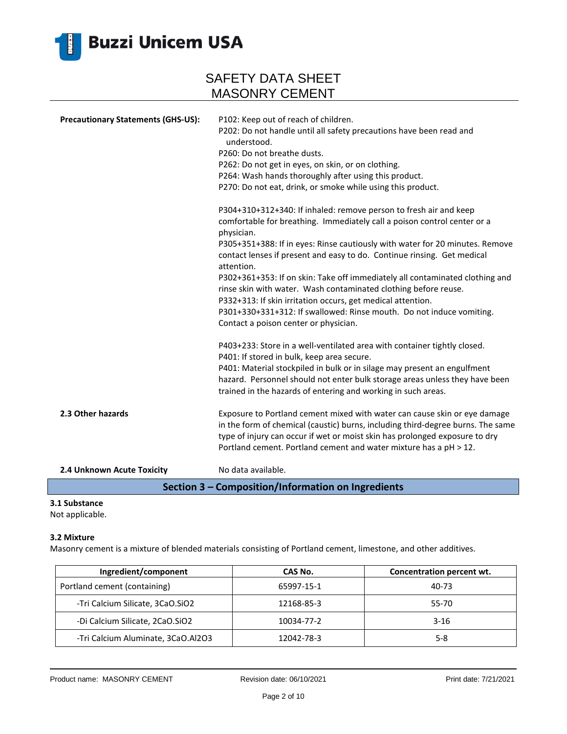

| <b>Precautionary Statements (GHS-US):</b> | P102: Keep out of reach of children.                                                                                                            |
|-------------------------------------------|-------------------------------------------------------------------------------------------------------------------------------------------------|
|                                           | P202: Do not handle until all safety precautions have been read and<br>understood.                                                              |
|                                           | P260: Do not breathe dusts.                                                                                                                     |
|                                           | P262: Do not get in eyes, on skin, or on clothing.                                                                                              |
|                                           | P264: Wash hands thoroughly after using this product.                                                                                           |
|                                           | P270: Do not eat, drink, or smoke while using this product.                                                                                     |
|                                           | P304+310+312+340: If inhaled: remove person to fresh air and keep                                                                               |
|                                           | comfortable for breathing. Immediately call a poison control center or a<br>physician.                                                          |
|                                           | P305+351+388: If in eyes: Rinse cautiously with water for 20 minutes. Remove                                                                    |
|                                           | contact lenses if present and easy to do. Continue rinsing. Get medical<br>attention.                                                           |
|                                           | P302+361+353: If on skin: Take off immediately all contaminated clothing and<br>rinse skin with water. Wash contaminated clothing before reuse. |
|                                           | P332+313: If skin irritation occurs, get medical attention.                                                                                     |
|                                           | P301+330+331+312: If swallowed: Rinse mouth. Do not induce vomiting.                                                                            |
|                                           | Contact a poison center or physician.                                                                                                           |
|                                           | P403+233: Store in a well-ventilated area with container tightly closed.                                                                        |
|                                           | P401: If stored in bulk, keep area secure.                                                                                                      |
|                                           | P401: Material stockpiled in bulk or in silage may present an engulfment                                                                        |
|                                           | hazard. Personnel should not enter bulk storage areas unless they have been                                                                     |
|                                           | trained in the hazards of entering and working in such areas.                                                                                   |
| 2.3 Other hazards                         | Exposure to Portland cement mixed with water can cause skin or eye damage                                                                       |
|                                           | in the form of chemical (caustic) burns, including third-degree burns. The same                                                                 |
|                                           | type of injury can occur if wet or moist skin has prolonged exposure to dry                                                                     |
|                                           | Portland cement. Portland cement and water mixture has a pH > 12.                                                                               |
| 2.4 Unknown Acute Toxicity                | No data available.                                                                                                                              |

**Section 3 – Composition/Information on Ingredients**

### **3.1 Substance**

Not applicable.

### **3.2 Mixture**

Masonry cement is a mixture of blended materials consisting of Portland cement, limestone, and other additives.

| Ingredient/component               | CAS No.    | Concentration percent wt. |
|------------------------------------|------------|---------------------------|
| Portland cement (containing)       | 65997-15-1 | 40-73                     |
| -Tri Calcium Silicate, 3CaO.SiO2   | 12168-85-3 | 55-70                     |
| -Di Calcium Silicate, 2CaO.SiO2    | 10034-77-2 | $3-16$                    |
| -Tri Calcium Aluminate, 3CaO.Al2O3 | 12042-78-3 | $5-8$                     |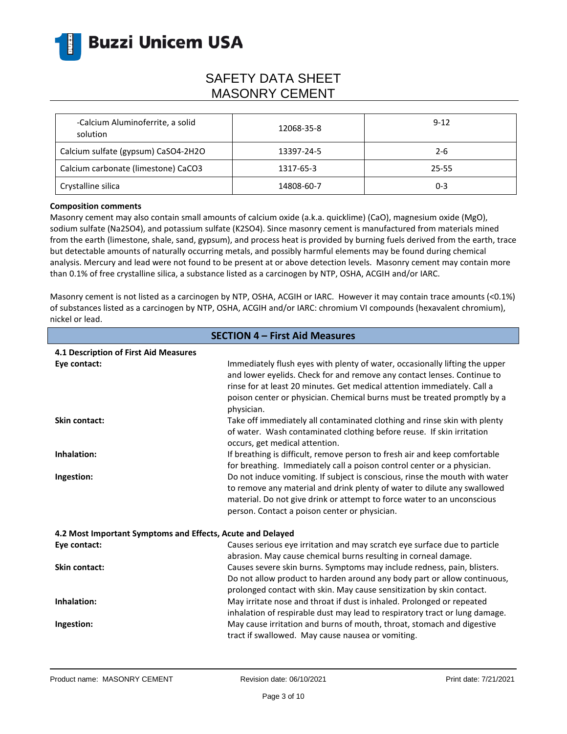

| -Calcium Aluminoferrite, a solid<br>solution | 12068-35-8 | $9 - 12$ |
|----------------------------------------------|------------|----------|
| Calcium sulfate (gypsum) CaSO4-2H2O          | 13397-24-5 | $2 - 6$  |
| Calcium carbonate (limestone) CaCO3          | 1317-65-3  | 25-55    |
| Crystalline silica                           | 14808-60-7 | 0-3      |

#### **Composition comments**

Masonry cement may also contain small amounts of calcium oxide (a.k.a. quicklime) (CaO), magnesium oxide (MgO), sodium sulfate (Na2SO4), and potassium sulfate (K2SO4). Since masonry cement is manufactured from materials mined from the earth (limestone, shale, sand, gypsum), and process heat is provided by burning fuels derived from the earth, trace but detectable amounts of naturally occurring metals, and possibly harmful elements may be found during chemical analysis. Mercury and lead were not found to be present at or above detection levels. Masonry cement may contain more than 0.1% of free crystalline silica, a substance listed as a carcinogen by NTP, OSHA, ACGIH and/or IARC.

Masonry cement is not listed as a carcinogen by NTP, OSHA, ACGIH or IARC. However it may contain trace amounts (<0.1%) of substances listed as a carcinogen by NTP, OSHA, ACGIH and/or IARC: chromium VI compounds (hexavalent chromium), nickel or lead.

| <b>SECTION 4 - First Aid Measures</b>                      |                                                                                                                                                                                                                                                                                                                              |  |
|------------------------------------------------------------|------------------------------------------------------------------------------------------------------------------------------------------------------------------------------------------------------------------------------------------------------------------------------------------------------------------------------|--|
| 4.1 Description of First Aid Measures                      |                                                                                                                                                                                                                                                                                                                              |  |
| Eye contact:                                               | Immediately flush eyes with plenty of water, occasionally lifting the upper<br>and lower eyelids. Check for and remove any contact lenses. Continue to<br>rinse for at least 20 minutes. Get medical attention immediately. Call a<br>poison center or physician. Chemical burns must be treated promptly by a<br>physician. |  |
| Skin contact:                                              | Take off immediately all contaminated clothing and rinse skin with plenty<br>of water. Wash contaminated clothing before reuse. If skin irritation<br>occurs, get medical attention.                                                                                                                                         |  |
| Inhalation:                                                | If breathing is difficult, remove person to fresh air and keep comfortable<br>for breathing. Immediately call a poison control center or a physician.                                                                                                                                                                        |  |
| Ingestion:                                                 | Do not induce vomiting. If subject is conscious, rinse the mouth with water<br>to remove any material and drink plenty of water to dilute any swallowed<br>material. Do not give drink or attempt to force water to an unconscious<br>person. Contact a poison center or physician.                                          |  |
| 4.2 Most Important Symptoms and Effects, Acute and Delayed |                                                                                                                                                                                                                                                                                                                              |  |
| Eye contact:                                               | Causes serious eye irritation and may scratch eye surface due to particle<br>abrasion. May cause chemical burns resulting in corneal damage.                                                                                                                                                                                 |  |
| <b>Skin contact:</b>                                       | Causes severe skin burns. Symptoms may include redness, pain, blisters.<br>Do not allow product to harden around any body part or allow continuous,<br>prolonged contact with skin. May cause sensitization by skin contact.                                                                                                 |  |
| Inhalation:                                                | May irritate nose and throat if dust is inhaled. Prolonged or repeated<br>inhalation of respirable dust may lead to respiratory tract or lung damage.                                                                                                                                                                        |  |
| Ingestion:                                                 | May cause irritation and burns of mouth, throat, stomach and digestive<br>tract if swallowed. May cause nausea or vomiting.                                                                                                                                                                                                  |  |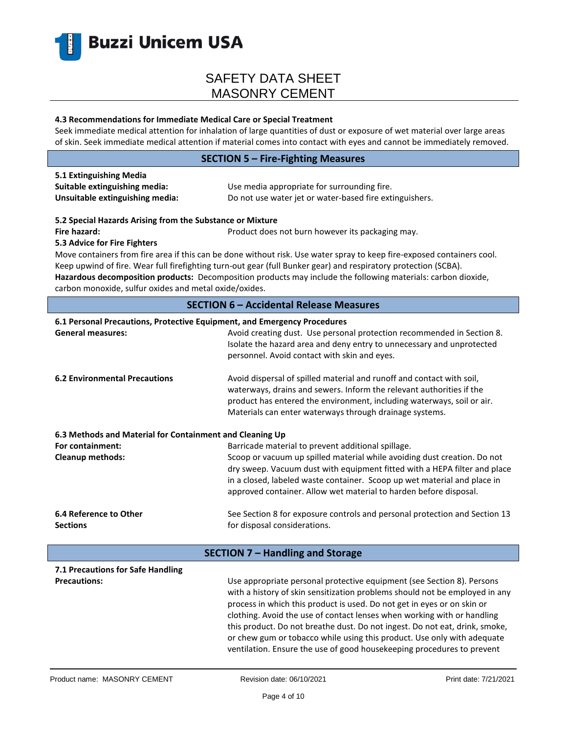

#### **4.3 Recommendations for Immediate Medical Care or Special Treatment**

Seek immediate medical attention for inhalation of large quantities of dust or exposure of wet material over large areas of skin. Seek immediate medical attention if material comes into contact with eyes and cannot be immediately removed.

#### **SECTION 5 – Fire-Fighting Measures**

| 5.1 Extinguishing Media         |                                                         |
|---------------------------------|---------------------------------------------------------|
| Suitable extinguishing media:   | Use media appropriate for surrounding fire.             |
| Unsuitable extinguishing media: | Do not use water jet or water-based fire extinguishers. |

#### **5.2 Special Hazards Arising from the Substance or Mixture**

**Fire hazard: Product does not burn however its packaging may.** Product does not burn however its packaging may.

### **5.3 Advice for Fire Fighters**

Move containers from fire area if this can be done without risk. Use water spray to keep fire-exposed containers cool. Keep upwind of fire. Wear full firefighting turn-out gear (full Bunker gear) and respiratory protection (SCBA). **Hazardous decomposition products:** Decomposition products may include the following materials: carbon dioxide, carbon monoxide, sulfur oxides and metal oxide/oxides.

### **SECTION 6 – Accidental Release Measures**

#### **6.1 Personal Precautions, Protective Equipment, and Emergency Procedures**

| <b>General measures:</b>                                 | Avoid creating dust. Use personal protection recommended in Section 8.<br>Isolate the hazard area and deny entry to unnecessary and unprotected<br>personnel. Avoid contact with skin and eyes.                                                                                                        |  |
|----------------------------------------------------------|--------------------------------------------------------------------------------------------------------------------------------------------------------------------------------------------------------------------------------------------------------------------------------------------------------|--|
| <b>6.2 Environmental Precautions</b>                     | Avoid dispersal of spilled material and runoff and contact with soil,<br>waterways, drains and sewers. Inform the relevant authorities if the<br>product has entered the environment, including waterways, soil or air.<br>Materials can enter waterways through drainage systems.                     |  |
| 6.3 Methods and Material for Containment and Cleaning Up |                                                                                                                                                                                                                                                                                                        |  |
| For containment:                                         | Barricade material to prevent additional spillage.                                                                                                                                                                                                                                                     |  |
| <b>Cleanup methods:</b>                                  | Scoop or vacuum up spilled material while avoiding dust creation. Do not<br>dry sweep. Vacuum dust with equipment fitted with a HEPA filter and place<br>in a closed, labeled waste container. Scoop up wet material and place in<br>approved container. Allow wet material to harden before disposal. |  |
| 6.4 Reference to Other                                   | See Section 8 for exposure controls and personal protection and Section 13                                                                                                                                                                                                                             |  |
| <b>Sections</b>                                          | for disposal considerations.                                                                                                                                                                                                                                                                           |  |
| SECTION 7 - Handling and Storage                         |                                                                                                                                                                                                                                                                                                        |  |
| 7.1 Precautions for Safe Handling<br><b>Precautions:</b> | Use appropriate personal protective equipment (see Section 8). Persons                                                                                                                                                                                                                                 |  |

with a history of skin sensitization problems should not be employed in any process in which this product is used. Do not get in eyes or on skin or clothing. Avoid the use of contact lenses when working with or handling this product. Do not breathe dust. Do not ingest. Do not eat, drink, smoke, or chew gum or tobacco while using this product. Use only with adequate ventilation. Ensure the use of good housekeeping procedures to prevent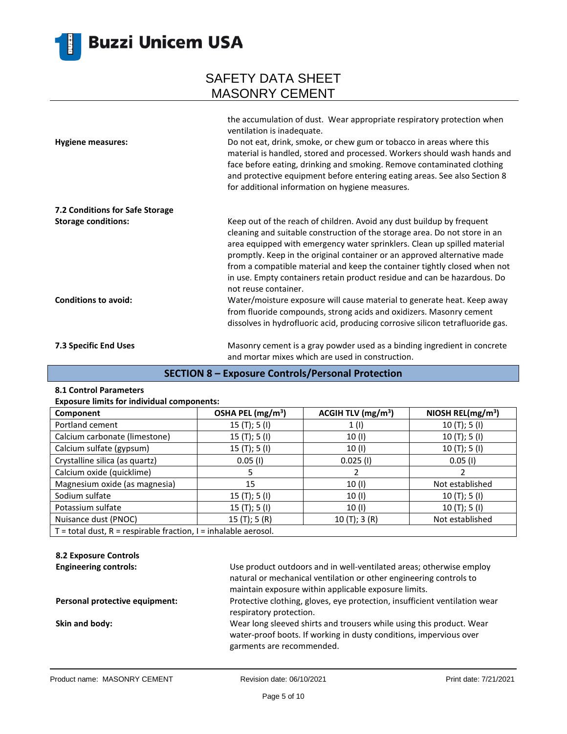

| <b>Hygiene measures:</b>        | the accumulation of dust. Wear appropriate respiratory protection when<br>ventilation is inadequate.<br>Do not eat, drink, smoke, or chew gum or tobacco in areas where this<br>material is handled, stored and processed. Workers should wash hands and<br>face before eating, drinking and smoking. Remove contaminated clothing<br>and protective equipment before entering eating areas. See also Section 8<br>for additional information on hygiene measures.                           |
|---------------------------------|----------------------------------------------------------------------------------------------------------------------------------------------------------------------------------------------------------------------------------------------------------------------------------------------------------------------------------------------------------------------------------------------------------------------------------------------------------------------------------------------|
| 7.2 Conditions for Safe Storage |                                                                                                                                                                                                                                                                                                                                                                                                                                                                                              |
| <b>Storage conditions:</b>      | Keep out of the reach of children. Avoid any dust buildup by frequent<br>cleaning and suitable construction of the storage area. Do not store in an<br>area equipped with emergency water sprinklers. Clean up spilled material<br>promptly. Keep in the original container or an approved alternative made<br>from a compatible material and keep the container tightly closed when not<br>in use. Empty containers retain product residue and can be hazardous. Do<br>not reuse container. |
| <b>Conditions to avoid:</b>     | Water/moisture exposure will cause material to generate heat. Keep away<br>from fluoride compounds, strong acids and oxidizers. Masonry cement<br>dissolves in hydrofluoric acid, producing corrosive silicon tetrafluoride gas.                                                                                                                                                                                                                                                             |
| 7.3 Specific End Uses           | Masonry cement is a gray powder used as a binding ingredient in concrete<br>and mortar mixes which are used in construction.                                                                                                                                                                                                                                                                                                                                                                 |

### **SECTION 8 – Exposure Controls/Personal Protection**

#### **8.1 Control Parameters**

| <b>Exposure limits for individual components:</b> |  |  |  |
|---------------------------------------------------|--|--|--|
|---------------------------------------------------|--|--|--|

| Component                                                             | OSHA PEL (mg/m <sup>3</sup> ) | ACGIH TLV $(mg/m3)$ | NIOSH REL( $mg/m3$ ) |  |
|-----------------------------------------------------------------------|-------------------------------|---------------------|----------------------|--|
| Portland cement                                                       | 15 (T); 5 (I)                 | 1(1)                | 10 $(T); 5(I)$       |  |
| Calcium carbonate (limestone)                                         | 15 $(T);$ 5 $(I)$             | 10(1)               | 10(T); 5(I)          |  |
| Calcium sulfate (gypsum)                                              | 15 $(T);$ 5 $(I)$             | 10 (I)              | 10(T); 5(I)          |  |
| Crystalline silica (as quartz)                                        | $0.05$ (I)                    | $0.025$ (I)         | $0.05$ (I)           |  |
| Calcium oxide (quicklime)                                             | 5.                            |                     |                      |  |
| Magnesium oxide (as magnesia)                                         | 15                            | 10(1)               | Not established      |  |
| Sodium sulfate                                                        | 15 $(T);$ 5 $(I)$             | 10(1)               | 10(T); 5(I)          |  |
| Potassium sulfate                                                     | 15(T); 5(I)                   | 10(1)               | 10(T); 5(I)          |  |
| Nuisance dust (PNOC)                                                  | 15(T); 5(R)                   | 10(T); 3(R)         | Not established      |  |
| $T =$ total dust, $R =$ respirable fraction, $I =$ inhalable aerosol. |                               |                     |                      |  |

### **8.2 Exposure Controls**

| <b>Engineering controls:</b>   | Use product outdoors and in well-ventilated areas; otherwise employ<br>natural or mechanical ventilation or other engineering controls to                               |
|--------------------------------|-------------------------------------------------------------------------------------------------------------------------------------------------------------------------|
|                                | maintain exposure within applicable exposure limits.                                                                                                                    |
| Personal protective equipment: | Protective clothing, gloves, eye protection, insufficient ventilation wear<br>respiratory protection.                                                                   |
| Skin and body:                 | Wear long sleeved shirts and trousers while using this product. Wear<br>water-proof boots. If working in dusty conditions, impervious over<br>garments are recommended. |
|                                |                                                                                                                                                                         |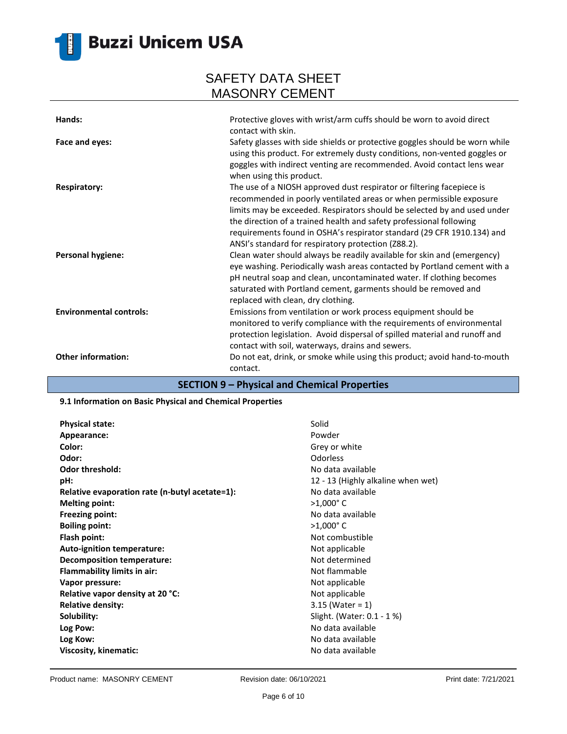

# **Buzzi Unicem USA**

## SAFETY DATA SHEET MASONRY CEMENT

| Hands:                                | Protective gloves with wrist/arm cuffs should be worn to avoid direct<br>contact with skin.                                                                                                                                                                                                                                                                                                                                                                                                                                                                                       |
|---------------------------------------|-----------------------------------------------------------------------------------------------------------------------------------------------------------------------------------------------------------------------------------------------------------------------------------------------------------------------------------------------------------------------------------------------------------------------------------------------------------------------------------------------------------------------------------------------------------------------------------|
| Face and eyes:<br><b>Respiratory:</b> | Safety glasses with side shields or protective goggles should be worn while<br>using this product. For extremely dusty conditions, non-vented goggles or<br>goggles with indirect venting are recommended. Avoid contact lens wear<br>when using this product.<br>The use of a NIOSH approved dust respirator or filtering facepiece is<br>recommended in poorly ventilated areas or when permissible exposure                                                                                                                                                                    |
| <b>Personal hygiene:</b>              | limits may be exceeded. Respirators should be selected by and used under<br>the direction of a trained health and safety professional following<br>requirements found in OSHA's respirator standard (29 CFR 1910.134) and<br>ANSI's standard for respiratory protection (Z88.2).<br>Clean water should always be readily available for skin and (emergency)<br>eye washing. Periodically wash areas contacted by Portland cement with a<br>pH neutral soap and clean, uncontaminated water. If clothing becomes<br>saturated with Portland cement, garments should be removed and |
| <b>Environmental controls:</b>        | replaced with clean, dry clothing.<br>Emissions from ventilation or work process equipment should be<br>monitored to verify compliance with the requirements of environmental<br>protection legislation. Avoid dispersal of spilled material and runoff and                                                                                                                                                                                                                                                                                                                       |
| <b>Other information:</b>             | contact with soil, waterways, drains and sewers.<br>Do not eat, drink, or smoke while using this product; avoid hand-to-mouth<br>contact.                                                                                                                                                                                                                                                                                                                                                                                                                                         |

### **SECTION 9 – Physical and Chemical Properties**

#### **9.1 Information on Basic Physical and Chemical Properties**

| <b>Physical state:</b>                         | Solid            |
|------------------------------------------------|------------------|
| Appearance:                                    | Powder           |
| Color:                                         | Grey or          |
| Odor:                                          | Odorles          |
| <b>Odor threshold:</b>                         | No data          |
| pH:                                            | $12 - 13$        |
| Relative evaporation rate (n-butyl acetate=1): | No data          |
| <b>Melting point:</b>                          | $>1,000^{\circ}$ |
| <b>Freezing point:</b>                         | No data          |
| <b>Boiling point:</b>                          | $>1,000^{\circ}$ |
| Flash point:                                   | Not con          |
| Auto-ignition temperature:                     | Not app          |
| <b>Decomposition temperature:</b>              | Not det          |
| Flammability limits in air:                    | Not flar         |
| Vapor pressure:                                | Not app          |
| Relative vapor density at 20 °C:               | Not app          |
| <b>Relative density:</b>                       | 3.15 (W          |
| Solubility:                                    | Slight. (        |
| Log Pow:                                       | No data          |
| Log Kow:                                       | No data          |
| Viscosity, kinematic:                          | No data          |

**Grey or white Odor:** Odorless No data available 12 - 13 (Highly alkaline when wet) **No data available Melting point:** >1,000° C **Freezing point:** No data available **Boiling point:** >1,000° C **Flash point:** Not combustible **Not applicable Not determined Not flammable Not applicable Not applicable Relative density:** 3.15 (Water = 1) Slight. (Water: 0.1 - 1 %) **Log Pow:** No data available **Log Kow:** No data available **Viscosity, kinematic:** No data available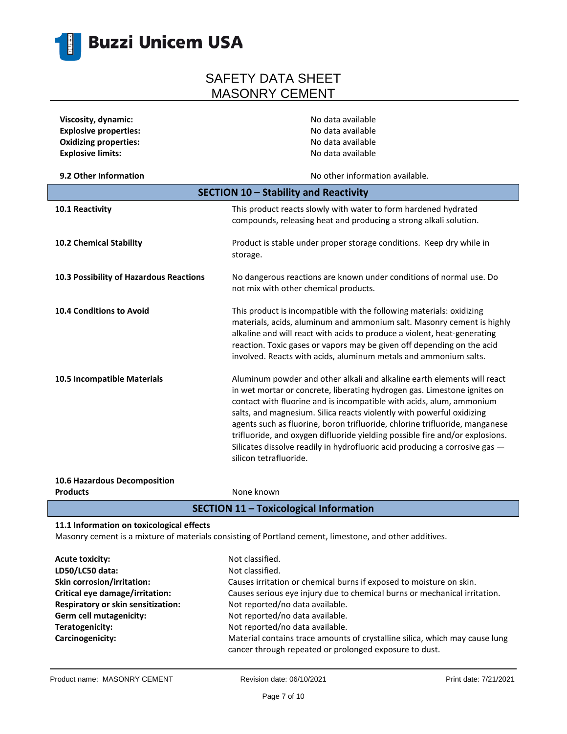

| Viscosity, dynamic:                     | No data available                                                                                                                                                                                                                                                                                                                                                                                                                                                                                                                                                            |
|-----------------------------------------|------------------------------------------------------------------------------------------------------------------------------------------------------------------------------------------------------------------------------------------------------------------------------------------------------------------------------------------------------------------------------------------------------------------------------------------------------------------------------------------------------------------------------------------------------------------------------|
| <b>Explosive properties:</b>            | No data available                                                                                                                                                                                                                                                                                                                                                                                                                                                                                                                                                            |
| <b>Oxidizing properties:</b>            | No data available                                                                                                                                                                                                                                                                                                                                                                                                                                                                                                                                                            |
| <b>Explosive limits:</b>                | No data available                                                                                                                                                                                                                                                                                                                                                                                                                                                                                                                                                            |
|                                         |                                                                                                                                                                                                                                                                                                                                                                                                                                                                                                                                                                              |
| 9.2 Other Information                   | No other information available.                                                                                                                                                                                                                                                                                                                                                                                                                                                                                                                                              |
|                                         | SECTION 10 - Stability and Reactivity                                                                                                                                                                                                                                                                                                                                                                                                                                                                                                                                        |
| 10.1 Reactivity                         | This product reacts slowly with water to form hardened hydrated<br>compounds, releasing heat and producing a strong alkali solution.                                                                                                                                                                                                                                                                                                                                                                                                                                         |
| 10.2 Chemical Stability                 | Product is stable under proper storage conditions. Keep dry while in<br>storage.                                                                                                                                                                                                                                                                                                                                                                                                                                                                                             |
| 10.3 Possibility of Hazardous Reactions | No dangerous reactions are known under conditions of normal use. Do<br>not mix with other chemical products.                                                                                                                                                                                                                                                                                                                                                                                                                                                                 |
| <b>10.4 Conditions to Avoid</b>         | This product is incompatible with the following materials: oxidizing<br>materials, acids, aluminum and ammonium salt. Masonry cement is highly<br>alkaline and will react with acids to produce a violent, heat-generating<br>reaction. Toxic gases or vapors may be given off depending on the acid<br>involved. Reacts with acids, aluminum metals and ammonium salts.                                                                                                                                                                                                     |
| 10.5 Incompatible Materials             | Aluminum powder and other alkali and alkaline earth elements will react<br>in wet mortar or concrete, liberating hydrogen gas. Limestone ignites on<br>contact with fluorine and is incompatible with acids, alum, ammonium<br>salts, and magnesium. Silica reacts violently with powerful oxidizing<br>agents such as fluorine, boron trifluoride, chlorine trifluoride, manganese<br>trifluoride, and oxygen difluoride yielding possible fire and/or explosions.<br>Silicates dissolve readily in hydrofluoric acid producing a corrosive gas -<br>silicon tetrafluoride. |

**10.6 Hazardous Decomposition Products** None known

### **SECTION 11 – Toxicological Information**

#### **11.1 Information on toxicological effects**

Masonry cement is a mixture of materials consisting of Portland cement, limestone, and other additives.

| <b>Acute toxicity:</b>             | Not classified.                                                             |
|------------------------------------|-----------------------------------------------------------------------------|
| LD50/LC50 data:                    | Not classified.                                                             |
| Skin corrosion/irritation:         | Causes irritation or chemical burns if exposed to moisture on skin.         |
| Critical eye damage/irritation:    | Causes serious eye injury due to chemical burns or mechanical irritation.   |
| Respiratory or skin sensitization: | Not reported/no data available.                                             |
| Germ cell mutagenicity:            | Not reported/no data available.                                             |
| Teratogenicity:                    | Not reported/no data available.                                             |
| Carcinogenicity:                   | Material contains trace amounts of crystalline silica, which may cause lung |
|                                    | cancer through repeated or prolonged exposure to dust.                      |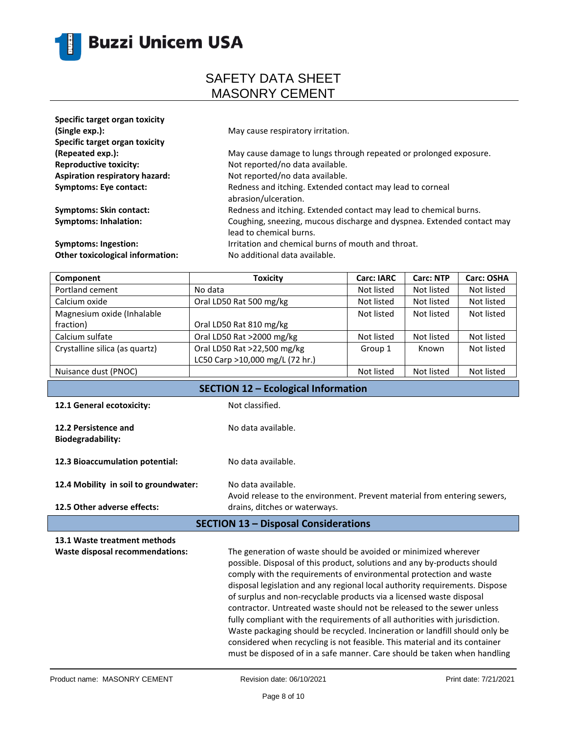

| Specific target organ toxicity<br>(Single exp.):<br>Specific target organ toxicity | May cause respiratory irritation.                                                                 |
|------------------------------------------------------------------------------------|---------------------------------------------------------------------------------------------------|
| (Repeated exp.):                                                                   | May cause damage to lungs through repeated or prolonged exposure.                                 |
| <b>Reproductive toxicity:</b>                                                      | Not reported/no data available.                                                                   |
| <b>Aspiration respiratory hazard:</b>                                              | Not reported/no data available.                                                                   |
| <b>Symptoms: Eye contact:</b>                                                      | Redness and itching. Extended contact may lead to corneal<br>abrasion/ulceration.                 |
| <b>Symptoms: Skin contact:</b>                                                     | Redness and itching. Extended contact may lead to chemical burns.                                 |
| <b>Symptoms: Inhalation:</b>                                                       | Coughing, sneezing, mucous discharge and dyspnea. Extended contact may<br>lead to chemical burns. |
| <b>Symptoms: Ingestion:</b>                                                        | Irritation and chemical burns of mouth and throat.                                                |
| <b>Other toxicological information:</b>                                            | No additional data available.                                                                     |

| <b>Toxicity</b>                 | <b>Carc: IARC</b> | <b>Carc: NTP</b> | Carc: OSHA |
|---------------------------------|-------------------|------------------|------------|
| No data                         | Not listed        | Not listed       | Not listed |
| Oral LD50 Rat 500 mg/kg         | Not listed        | Not listed       | Not listed |
|                                 | Not listed        | Not listed       | Not listed |
| Oral LD50 Rat 810 mg/kg         |                   |                  |            |
| Oral LD50 Rat >2000 mg/kg       | Not listed        | Not listed       | Not listed |
| Oral LD50 Rat >22,500 mg/kg     | Group 1           | Known            | Not listed |
| LC50 Carp >10,000 mg/L (72 hr.) |                   |                  |            |
|                                 | Not listed        | Not listed       | Not listed |
|                                 |                   |                  |            |

| <b>SECTION 12 - Ecological Information</b>       |                                                                                                                                                                                                                                                                                                                                                                                                                                                                                                                                                                                                                                                                                                                                                                            |
|--------------------------------------------------|----------------------------------------------------------------------------------------------------------------------------------------------------------------------------------------------------------------------------------------------------------------------------------------------------------------------------------------------------------------------------------------------------------------------------------------------------------------------------------------------------------------------------------------------------------------------------------------------------------------------------------------------------------------------------------------------------------------------------------------------------------------------------|
| 12.1 General ecotoxicity:                        | Not classified.                                                                                                                                                                                                                                                                                                                                                                                                                                                                                                                                                                                                                                                                                                                                                            |
| 12.2 Persistence and<br><b>Biodegradability:</b> | No data available.                                                                                                                                                                                                                                                                                                                                                                                                                                                                                                                                                                                                                                                                                                                                                         |
| 12.3 Bioaccumulation potential:                  | No data available.                                                                                                                                                                                                                                                                                                                                                                                                                                                                                                                                                                                                                                                                                                                                                         |
| 12.4 Mobility in soil to groundwater:            | No data available.<br>Avoid release to the environment. Prevent material from entering sewers,                                                                                                                                                                                                                                                                                                                                                                                                                                                                                                                                                                                                                                                                             |
| 12.5 Other adverse effects:                      | drains, ditches or waterways.                                                                                                                                                                                                                                                                                                                                                                                                                                                                                                                                                                                                                                                                                                                                              |
| <b>SECTION 13 - Disposal Considerations</b>      |                                                                                                                                                                                                                                                                                                                                                                                                                                                                                                                                                                                                                                                                                                                                                                            |
| 13.1 Waste treatment methods                     |                                                                                                                                                                                                                                                                                                                                                                                                                                                                                                                                                                                                                                                                                                                                                                            |
| <b>Waste disposal recommendations:</b>           | The generation of waste should be avoided or minimized wherever<br>possible. Disposal of this product, solutions and any by-products should<br>comply with the requirements of environmental protection and waste<br>disposal legislation and any regional local authority requirements. Dispose<br>of surplus and non-recyclable products via a licensed waste disposal<br>contractor. Untreated waste should not be released to the sewer unless<br>fully compliant with the requirements of all authorities with jurisdiction.<br>Waste packaging should be recycled. Incineration or landfill should only be<br>considered when recycling is not feasible. This material and its container<br>must be disposed of in a safe manner. Care should be taken when handling |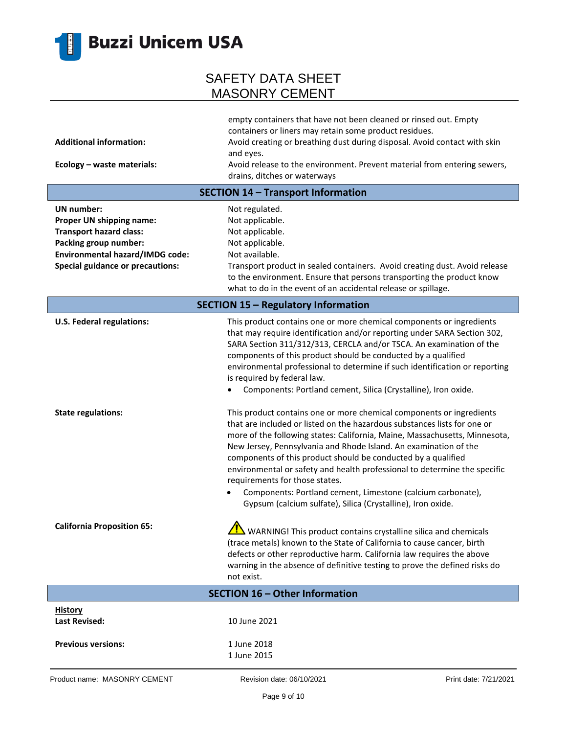

| <b>Additional information:</b><br>Ecology - waste materials:                                                                                                                           | empty containers that have not been cleaned or rinsed out. Empty<br>containers or liners may retain some product residues.<br>Avoid creating or breathing dust during disposal. Avoid contact with skin<br>and eyes.<br>Avoid release to the environment. Prevent material from entering sewers,                                                                                                                                                                                                                                                                                                                 |
|----------------------------------------------------------------------------------------------------------------------------------------------------------------------------------------|------------------------------------------------------------------------------------------------------------------------------------------------------------------------------------------------------------------------------------------------------------------------------------------------------------------------------------------------------------------------------------------------------------------------------------------------------------------------------------------------------------------------------------------------------------------------------------------------------------------|
|                                                                                                                                                                                        | drains, ditches or waterways                                                                                                                                                                                                                                                                                                                                                                                                                                                                                                                                                                                     |
|                                                                                                                                                                                        | <b>SECTION 14 - Transport Information</b>                                                                                                                                                                                                                                                                                                                                                                                                                                                                                                                                                                        |
| <b>UN</b> number:<br>Proper UN shipping name:<br><b>Transport hazard class:</b><br>Packing group number:<br>Environmental hazard/IMDG code:<br><b>Special guidance or precautions:</b> | Not regulated.<br>Not applicable.<br>Not applicable.<br>Not applicable.<br>Not available.<br>Transport product in sealed containers. Avoid creating dust. Avoid release<br>to the environment. Ensure that persons transporting the product know<br>what to do in the event of an accidental release or spillage.                                                                                                                                                                                                                                                                                                |
| <b>SECTION 15 - Regulatory Information</b>                                                                                                                                             |                                                                                                                                                                                                                                                                                                                                                                                                                                                                                                                                                                                                                  |
| <b>U.S. Federal regulations:</b>                                                                                                                                                       | This product contains one or more chemical components or ingredients<br>that may require identification and/or reporting under SARA Section 302,<br>SARA Section 311/312/313, CERCLA and/or TSCA. An examination of the<br>components of this product should be conducted by a qualified<br>environmental professional to determine if such identification or reporting<br>is required by federal law.<br>Components: Portland cement, Silica (Crystalline), Iron oxide.                                                                                                                                         |
| <b>State regulations:</b>                                                                                                                                                              | This product contains one or more chemical components or ingredients<br>that are included or listed on the hazardous substances lists for one or<br>more of the following states: California, Maine, Massachusetts, Minnesota,<br>New Jersey, Pennsylvania and Rhode Island. An examination of the<br>components of this product should be conducted by a qualified<br>environmental or safety and health professional to determine the specific<br>requirements for those states.<br>Components: Portland cement, Limestone (calcium carbonate),<br>Gypsum (calcium sulfate), Silica (Crystalline), Iron oxide. |
| <b>California Proposition 65:</b>                                                                                                                                                      | WARNING! This product contains crystalline silica and chemicals<br>(trace metals) known to the State of California to cause cancer, birth<br>defects or other reproductive harm. California law requires the above<br>warning in the absence of definitive testing to prove the defined risks do<br>not exist.                                                                                                                                                                                                                                                                                                   |
|                                                                                                                                                                                        | <b>SECTION 16 - Other Information</b>                                                                                                                                                                                                                                                                                                                                                                                                                                                                                                                                                                            |
| <b>History</b><br><b>Last Revised:</b>                                                                                                                                                 | 10 June 2021                                                                                                                                                                                                                                                                                                                                                                                                                                                                                                                                                                                                     |
| <b>Previous versions:</b>                                                                                                                                                              | 1 June 2018<br>1 June 2015                                                                                                                                                                                                                                                                                                                                                                                                                                                                                                                                                                                       |